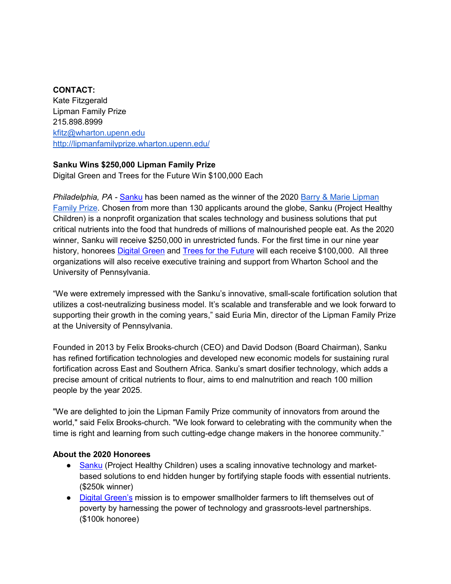## **CONTACT:**

Kate Fitzgerald Lipman Family Prize 215.898.8999 [kfitz@wharton.upenn.edu](mailto:kfitz@wharton.upenn.edu) <http://lipmanfamilyprize.wharton.upenn.edu/>

## **Sanku Wins \$250,000 Lipman Family Prize**

Digital Green and Trees for the Future Win \$100,000 Each

*Philadelphia, PA -* [Sanku](http://projecthealthychildren.com/small-scale-fortification/) has been named as the winner of the 2020 [Barry & Marie Lipman](http://lipmanfamilyprize.wharton.upenn.edu/)  [Family Prize.](http://lipmanfamilyprize.wharton.upenn.edu/) Chosen from more than 130 applicants around the globe, Sanku (Project Healthy Children) is a nonprofit organization that scales technology and business solutions that put critical nutrients into the food that hundreds of millions of malnourished people eat. As the 2020 winner, Sanku will receive \$250,000 in unrestricted funds. For the first time in our nine year history, honorees [Digital Green](https://www.digitalgreen.org/) and [Trees for the Future](https://trees.org/) will each receive \$100,000. All three organizations will also receive executive training and support from Wharton School and the University of Pennsylvania.

"We were extremely impressed with the Sanku's innovative, small-scale fortification solution that utilizes a cost-neutralizing business model. It's scalable and transferable and we look forward to supporting their growth in the coming years," said Euria Min, director of the Lipman Family Prize at the University of Pennsylvania.

Founded in 2013 by Felix Brooks-church (CEO) and David Dodson (Board Chairman), Sanku has refined fortification technologies and developed new economic models for sustaining rural fortification across East and Southern Africa. Sanku's smart dosifier technology, which adds a precise amount of critical nutrients to flour, aims to end malnutrition and reach 100 million people by the year 2025.

"We are delighted to join the Lipman Family Prize community of innovators from around the world," said Felix Brooks-church. "We look forward to celebrating with the community when the time is right and learning from such cutting-edge change makers in the honoree community."

## **About the 2020 Honorees**

- [Sanku](http://projecthealthychildren.com/) (Project Healthy Children) uses a scaling innovative technology and marketbased solutions to end hidden hunger by fortifying staple foods with essential nutrients. (\$250k winner)
- [Digital Green's](https://www.digitalgreen.org/) mission is to empower smallholder farmers to lift themselves out of poverty by harnessing the power of technology and grassroots-level partnerships. (\$100k honoree)